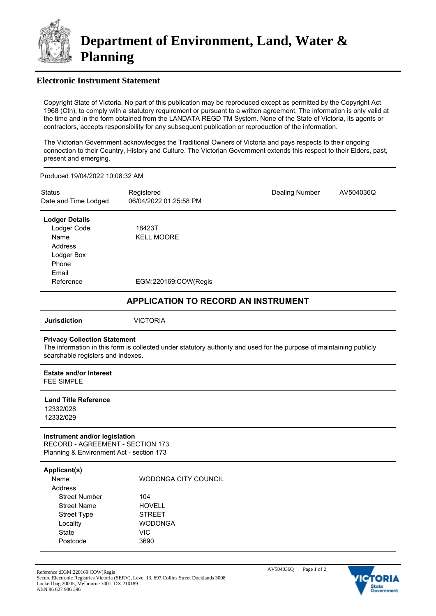

## **Electronic Instrument Statement**

Copyright State of Victoria. No part of this publication may be reproduced except as permitted by the Copyright Act 1968 (Cth), to comply with a statutory requirement or pursuant to a written agreement. The information is only valid at the time and in the form obtained from the LANDATA REGD TM System. None of the State of Victoria, its agents or contractors, accepts responsibility for any subsequent publication or reproduction of the information.

The Victorian Government acknowledges the Traditional Owners of Victoria and pays respects to their ongoing connection to their Country, History and Culture. The Victorian Government extends this respect to their Elders, past, present and emerging.

Produced 19/04/2022 10:08:32 AM

| <b>Status</b><br>Date and Time Lodged | Registered<br>06/04/2022 01:25:58 PM | <b>Dealing Number</b> | AV504036Q |
|---------------------------------------|--------------------------------------|-----------------------|-----------|
| <b>Lodger Details</b>                 |                                      |                       |           |
| Lodger Code                           | 18423T                               |                       |           |
| Name                                  | <b>KELL MOORE</b>                    |                       |           |
| Address                               |                                      |                       |           |
| Lodger Box                            |                                      |                       |           |
| Phone                                 |                                      |                       |           |
| Email                                 |                                      |                       |           |
| Reference                             | EGM:220169:COW(Regis                 |                       |           |

## **APPLICATION TO RECORD AN INSTRUMENT**

**Jurisdiction** VICTORIA

#### **Privacy Collection Statement**

The information in this form is collected under statutory authority and used for the purpose of maintaining publicly searchable registers and indexes.

**Estate and/or Interest** FFF SIMPLE

**Land Title Reference**

12332/028 12332/029

#### **Instrument and/or legislation** RECORD - AGREEMENT - SECTION 173 Planning & Environment Act - section 173

**Applicant(s)**

| Name                 | WODONGA CITY COUNCIL |
|----------------------|----------------------|
| Address              |                      |
| <b>Street Number</b> | 104                  |
| <b>Street Name</b>   | <b>HOVELL</b>        |
| <b>Street Type</b>   | <b>STRFFT</b>        |
| Locality             | WODONGA              |
| State                | VIC                  |
| Postcode             | 3690                 |

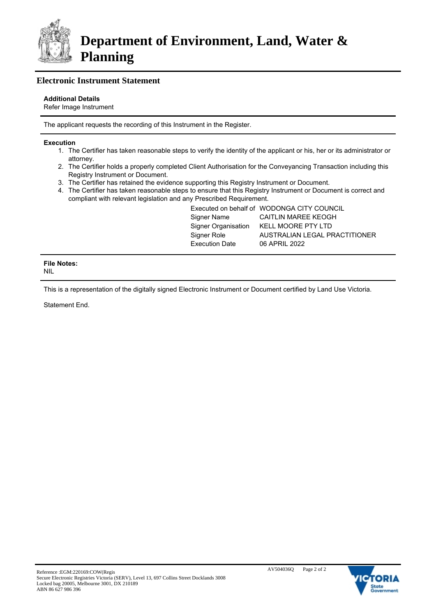

# **Electronic Instrument Statement**

### **Additional Details**

Refer Image Instrument

The applicant requests the recording of this Instrument in the Register.

#### **Execution**

- 1. The Certifier has taken reasonable steps to verify the identity of the applicant or his, her or its administrator or attorney.
- 2. The Certifier holds a properly completed Client Authorisation for the Conveyancing Transaction including this Registry Instrument or Document.
- 3. The Certifier has retained the evidence supporting this Registry Instrument or Document.
- 4. The Certifier has taken reasonable steps to ensure that this Registry Instrument or Document is correct and compliant with relevant legislation and any Prescribed Requirement.

|                       | Executed on behalf of WODONGA CITY COUNCIL |
|-----------------------|--------------------------------------------|
| Signer Name           | CAITLIN MAREE KEOGH                        |
| Signer Organisation   | KELL MOORE PTY LTD                         |
| Signer Role           | AUSTRALIAN LEGAL PRACTITIONER              |
| <b>Execution Date</b> | 06 APRIL 2022                              |
|                       |                                            |

#### **File Notes:** NIL

This is a representation of the digitally signed Electronic Instrument or Document certified by Land Use Victoria.

Statement End.

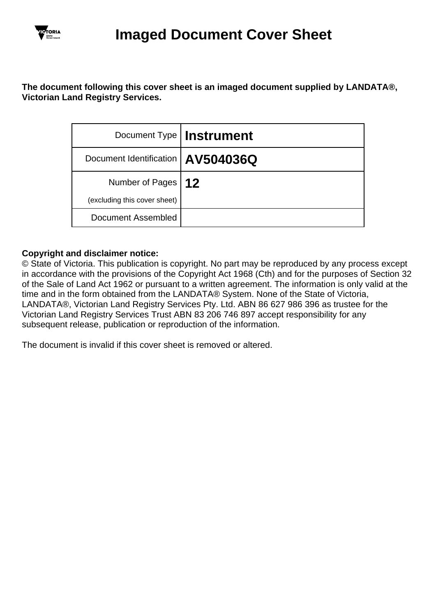

# **The document following this cover sheet is an imaged document supplied by LANDATA®, Victorian Land Registry Services.**

|                                     | Document Type   Instrument |
|-------------------------------------|----------------------------|
| Document Identification   AV504036Q |                            |
| Number of Pages   12                |                            |
| (excluding this cover sheet)        |                            |
| Document Assembled                  |                            |

# **Copyright and disclaimer notice:**

© State of Victoria. This publication is copyright. No part may be reproduced by any process except in accordance with the provisions of the Copyright Act 1968 (Cth) and for the purposes of Section 32 of the Sale of Land Act 1962 or pursuant to a written agreement. The information is only valid at the time and in the form obtained from the LANDATA® System. None of the State of Victoria, LANDATA®, Victorian Land Registry Services Pty. Ltd. ABN 86 627 986 396 as trustee for the Victorian Land Registry Services Trust ABN 83 206 746 897 accept responsibility for any subsequent release, publication or reproduction of the information.

The document is invalid if this cover sheet is removed or altered.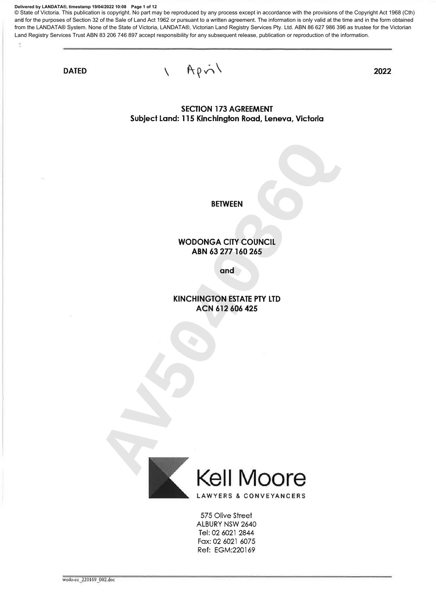**Delivered by LANDATA®, timestamp 19/04/2022 10:08 Page 1 of 12**

© State of Victoria. This publication is copyright. No part may be reproduced by any process except in accordance with the provisions of the Copyright Act 1968 (Cth) and for the purposes of Section 32 of the Sale of Land Act 1962 or pursuant to a written agreement. The information is only valid at the time and in the form obtained from the LANDATA® System. None of the State of Victoria, LANDATA®, Victorian Land Registry Services Pty. Ltd. ABN 86 627 986 396 as trustee for the Victorian Land Registry Services Trust ABN 83 206 746 897 accept responsibility for any subsequent release, publication or reproduction of the information.

**DATED** 

q

 $Ap\dot{\wedge}$ 

 $\overline{\phantom{0}}$ 

2022

**SECTION 173 AGREEMENT** Subject Land: 115 Kinchington Road, Leneva, Victoria



575 Olive Street ALBURY NSW 2640 Tel: 02 6021 2844 Fax: 02 6021 6075 Ref: EGM:220169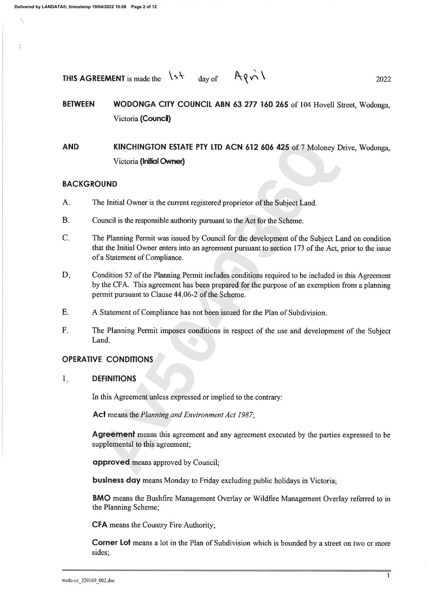**THIS AGREEMENT** is made the 
$$
\sqrt{5} + 4
$$
 day of  $A \sqrt{5} + 1$ 

#### **BETWEEN** WODONGA CITY COUNCIL ABN 63 277 160 265 of 104 Hovell Street, Wodonga, Victoria (Council)

**AND** 

- $A$ .
- $B.$
- **KINCHINGTON ESTATE PTY LTD ACN 612 606 425 of 7 Moloney Driv**<br>Victoria (Initial Owner)<br>Victoria (Initial Owner)<br>Intitial Owner is the current registered proprietor of the Subject Land.<br>The Distribution of the exposible au  $\mathcal{C}$ .
- D.
- E.
- $F.$

#### $1.$

**BMO** means the Bushfire Management Overlay or Wildfire Management Overlay referred to in the Planning Scheme;

**CFA** means the Country Fire Authority;

**Corner Lot** means a lot in the Plan of Subdivision which is bounded by a street on two or more sides: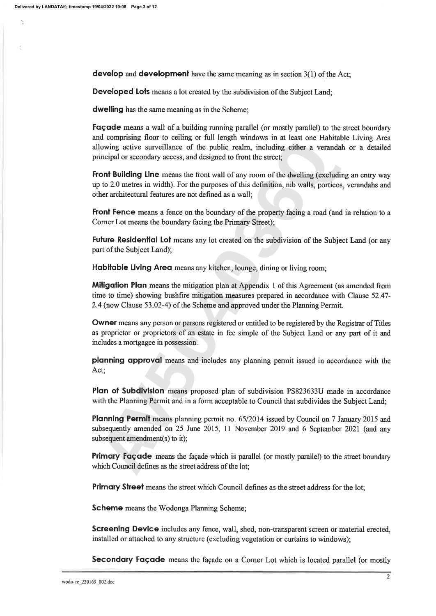Š.

develop and development have the same meaning as in section  $3(1)$  of the Act;

**Developed Lots** means a lot created by the subdivision of the Subject Land;

**dwelling** has the same meaning as in the Scheme;

Façade means a wall of a building running parallel (or mostly parallel) to the street boundary and comprising floor to ceiling or full length windows in at least one Habitable Living Area

wing active surveillance of the public realm, including either a verandah corpal or secondary access, and designed to front the street;<br> **AV Bulleling II ne** means the front wall of any room of the dwelling (excluding **AV** 

**Primary Street** means the street which Council defines as the street address for the lot;

**Scheme** means the Wodonga Planning Scheme;

**Screening Device** includes any fence, wall, shed, non-transparent screen or material erected, installed or attached to any structure (excluding vegetation or curtains to windows);

Secondary Façade means the façade on a Corner Lot which is located parallel (or mostly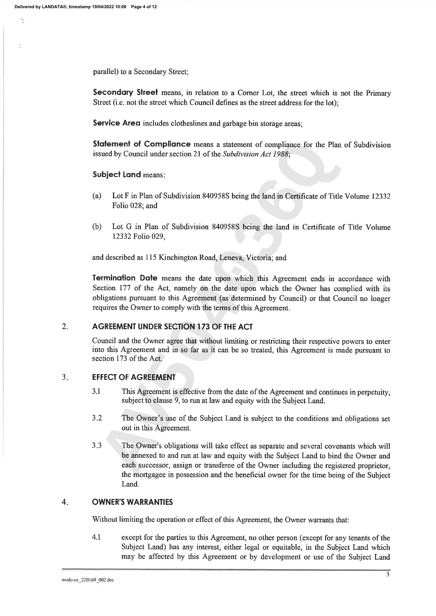parallel) to a Secondary Street;

**Secondary Street** means, in relation to a Corner Lot, the street which is not the Primary Street (i.e. not the street which Council defines as the street address for the lot);

**Service Area** includes clotheslines and garbage bin storage areas;

- $(a)$
- $(b)$

**Example 16 Compliance** means a statement of compliance for the Plan of<br>
And by Council under section 21 of the *Subdivision Act 1988*;<br> **AO** Let F in Plan of Subdivision 840958S being the land in Certificate of Title V.<br>

## $\overline{2}$ .

## $3.$

- $3.1$
- $3.2$
- $3.3$ Land.

#### $4.$ **OWNER'S WARRANTIES**

Without limiting the operation or effect of this Agreement, the Owner warrants that:

 $4.1$ except for the parties to this Agreement, no other person (except for any tenants of the Subject Land) has any interest, either legal or equitable, in the Subject Land which may be affected by this Agreement or by development or use of the Subject Land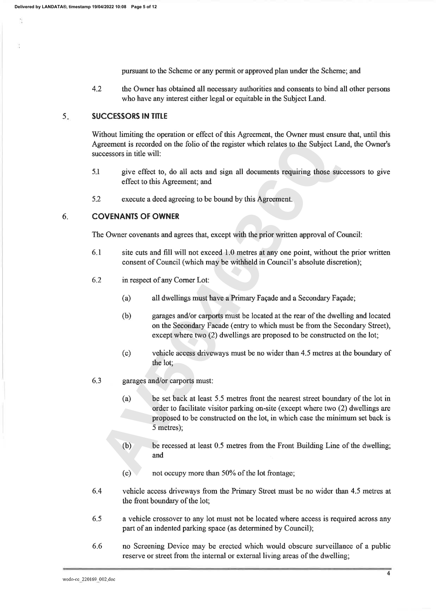pursuant to the Scheme or any permit or approved plan under the Scheme; and

 $4.2$ the Owner has obtained all necessary authorities and consents to bind all other persons who have any interest either legal or equitable in the Subject Land.

#### $5<sub>1</sub>$ **SUCCESSORS IN TITLE**

Without limiting the operation or effect of this Agreement, the Owner must ensure that, until this

- $5.1$
- 5.2

#### 6.

- 6.1
- 6.2
	-
	-
	-
- 6.3
- contrain is recorded on the folio of the register which relates to the Subject Land<br>give effect to, do all acts and sign all documents requiring those succese<br>effect to this Agreement; and<br>execute a deed agreeing to be bou
	- -
- 6.4 vehicle access driveways from the Primary Street must be no wider than 4.5 metres at the front boundary of the lot;
- 6.5 a vehicle crossover to any lot must not be located where access is required across any part of an indented parking space (as determined by Council);
- 6.6 no Screening Device may be erected which would obscure surveillance of a public reserve or street from the internal or external living areas of the dwelling;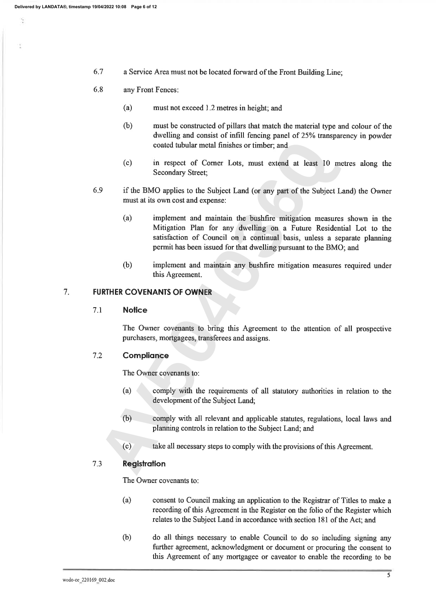6.7 a Service Area must not be located forward of the Front Building Line;

#### 6.8 any Front Fences:

- $(a)$ must not exceed 1.2 metres in height; and
- $(b)$ must be constructed of pillars that match the material type and colour of the dwelling and consist of infill fencing panel of 25% transparency in powder
- 
- 6.9
- coated tubular metal finishes or timber; and<br>
(c) in respect of Corner Lots, must extend at least 10 metra<br>
Secondary Street;<br>
if the BMo applies to the Subject Land (or any part of the Subject Land<br>
must at its own cost a
	-

# $7.$

#### $7.1$

### $7.2$

- 
- 
- 

### $7.3$

- $(a)$ consent to Council making an application to the Registrar of Titles to make a recording of this Agreement in the Register on the folio of the Register which relates to the Subject Land in accordance with section 181 of the Act; and
- $(b)$ do all things necessary to enable Council to do so including signing any further agreement, acknowledgment or document or procuring the consent to this Agreement of any mortgagee or caveator to enable the recording to be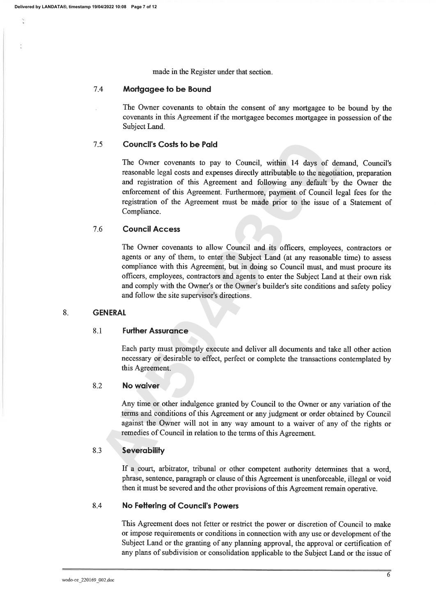made in the Register under that section.

#### 7.4 Mortgagee to be Bound

The Owner covenants to obtain the consent of any mortgagee to be bound by the covenants in this Agreement if the mortgagee becomes mortgagee in possession of the Subject Land.

### $7.5$

**Council's Costs to be Paid**<br>The Owner covenants to pay to Council, within 14 days of demanation<br>reasonable legal costs and expenses directly attributable to the negotiation<br>and registration of this Agreement and following

#### 7.6

#### 8.

#### 8.1

### 8.2

#### 8.3

then it must be severed and the other provisions of this Agreement remain operative.

#### 8.4 No Fettering of Council's Powers

This Agreement does not fetter or restrict the power or discretion of Council to make or impose requirements or conditions in connection with any use or development of the Subject Land or the granting of any planning approval, the approval or certification of any plans of subdivision or consolidation applicable to the Subject Land or the issue of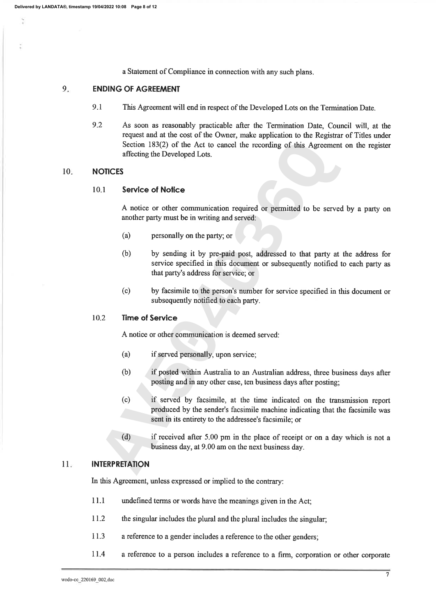a Statement of Compliance in connection with any such plans.

#### 9. **ENDING OF AGREEMENT**

- 9.1 This Agreement will end in respect of the Developed Lots on the Termination Date.
- 9.2 As soon as reasonably practicable after the Termination Date, Council will, at the request and at the cost of the Owner, make application to the Registrar of Titles under

## 10.

- 
- Section 183(2) of the Act to cancel the recording of this Agreement of<br> **ATCES**<br> **ALCES**<br> **ALCES**<br> **ALCES**<br> **ALCES**<br> **ALCES**<br> **ALCES**<br> **ALCES**<br> **ALCES**<br> **ALCES**<br> **ALCES**<br> **ALCES**<br> **ALCES**<br> **ALCES**<br> **ALCES**<br> **ALCES**<br> **ALCES** 
	-

- 
- 
- 
- 

### $11.$

- 11.1 undefined terms or words have the meanings given in the Act;
- 11.2 the singular includes the plural and the plural includes the singular;
- 11.3 a reference to a gender includes a reference to the other genders;
- 11.4 a reference to a person includes a reference to a firm, corporation or other corporate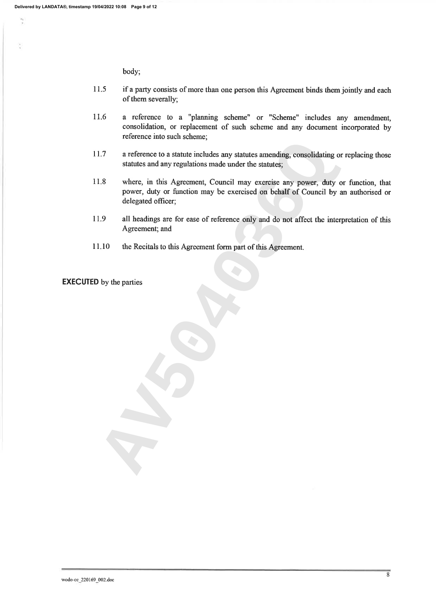È

body;

- 11.5 if a party consists of more than one person this Agreement binds them jointly and each of them severally;
- 11.6 a reference to a "planning scheme" or "Scheme" includes any amendment, consolidation, or replacement of such scheme and any document incorporated by reference into such scheme;
- 
- The areference to a statute includes any statutes amending, consolidating or re<br>
statutes and any regulations made under the statutes;<br>
Where, in this Agreement, Council may exercise any power, duty or f<br>
power, duty or fu
- 
-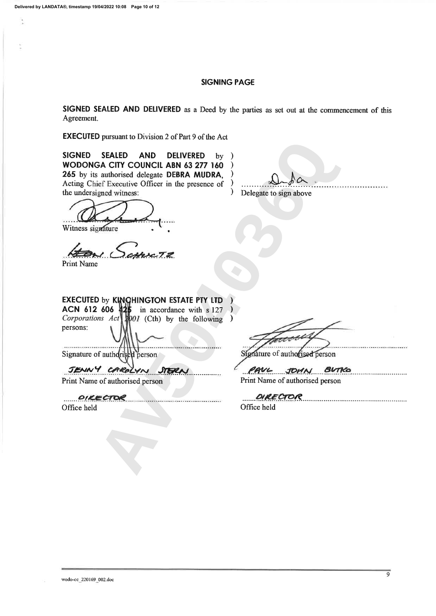t

#### **SIGNING PAGE**

SIGNED SEALED AND DELIVERED as a Deed by the parties as set out at the commencement of this Agreement.

**EXECUTED** pursuant to Division 2 of Part 9 of the Act

FALED AND DELIVERED by )<br>
CITY COUNCIL ABN 63 277 160 )<br>
CHONG delegate to SERA MUDRA,<br>
Executive Officer in the presence of )<br>
Delegate to sign above<br>
and winness:<br>
<br>
And Music Contract to the presence of the state of the **SIGNED** 

Print Name

persons:

Office held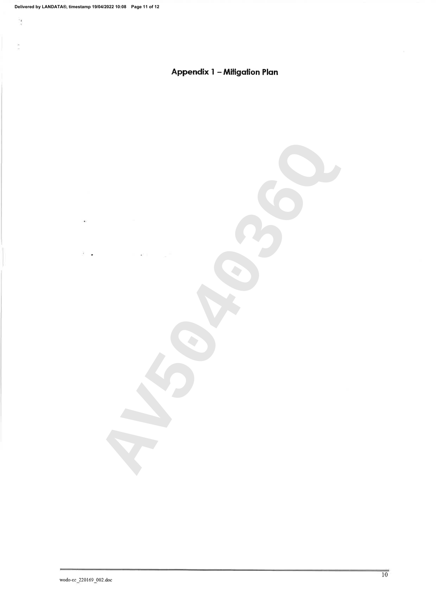ÿ.

 $\frac{1}{\sqrt{2}}$ 

š

# Appendix 1 - Mitigation Plan

**AV504203000**